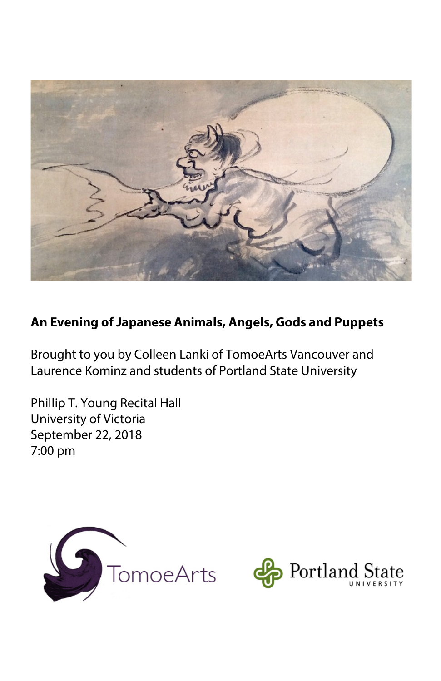

### **An Evening of Japanese Animals, Angels, Gods and Puppets**

Brought to you by Colleen Lanki of TomoeArts Vancouver and Laurence Kominz and students of Portland State University

Phillip T. Young Recital Hall University of Victoria September 22, 2018 7:00 pm



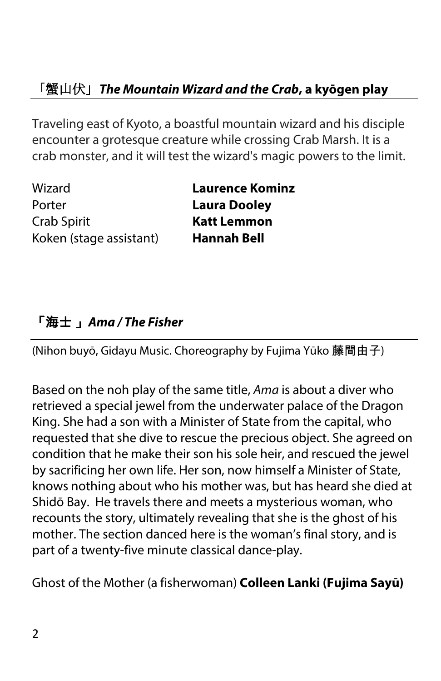# 「蟹山伏」*The Mountain Wizard and the Crab***, a kyōgen play**

Traveling east of Kyoto, a boastful mountain wizard and his disciple encounter a grotesque creature while crossing Crab Marsh. It is a crab monster, and it will test the wizard's magic powers to the limit.

Wizard **Laurence Kominz** Porter **Laura Dooley** Crab Spirit **Katt Lemmon** Koken (stage assistant) **Hannah Bell**

### 「海士 」*Ama / The Fisher*

(Nihon buyō, Gidayu Music. Choreography by Fujima Yūko 藤間由子)

Based on the noh play of the same title, *Ama* is about a diver who retrieved a special jewel from the underwater palace of the Dragon King. She had a son with a Minister of State from the capital, who requested that she dive to rescue the precious object. She agreed on condition that he make their son his sole heir, and rescued the jewel by sacrificing her own life. Her son, now himself a Minister of State, knows nothing about who his mother was, but has heard she died at Shidō Bay. He travels there and meets a mysterious woman, who recounts the story, ultimately revealing that she is the ghost of his mother. The section danced here is the woman's final story, and is part of a twenty-five minute classical dance-play.

Ghost of the Mother (a fisherwoman) **Colleen Lanki (Fujima Sayū)**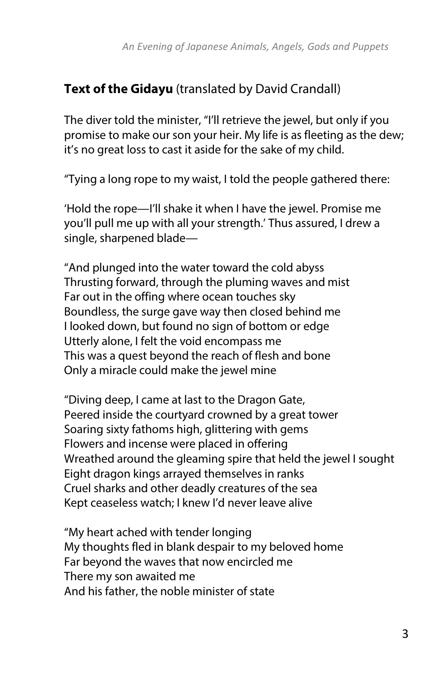#### **Text of the Gidayu** (translated by David Crandall)

The diver told the minister, "I'll retrieve the jewel, but only if you promise to make our son your heir. My life is as fleeting as the dew; it's no great loss to cast it aside for the sake of my child.

"Tying a long rope to my waist, I told the people gathered there:

'Hold the rope—I'll shake it when I have the jewel. Promise me you'll pull me up with all your strength.' Thus assured, I drew a single, sharpened blade—

"And plunged into the water toward the cold abyss Thrusting forward, through the pluming waves and mist Far out in the offing where ocean touches sky Boundless, the surge gave way then closed behind me I looked down, but found no sign of bottom or edge Utterly alone, I felt the void encompass me This was a quest beyond the reach of flesh and bone Only a miracle could make the jewel mine

"Diving deep, I came at last to the Dragon Gate, Peered inside the courtyard crowned by a great tower Soaring sixty fathoms high, glittering with gems Flowers and incense were placed in offering Wreathed around the gleaming spire that held the jewel I sought Eight dragon kings arrayed themselves in ranks Cruel sharks and other deadly creatures of the sea Kept ceaseless watch; I knew I'd never leave alive

"My heart ached with tender longing My thoughts fled in blank despair to my beloved home Far beyond the waves that now encircled me There my son awaited me And his father, the noble minister of state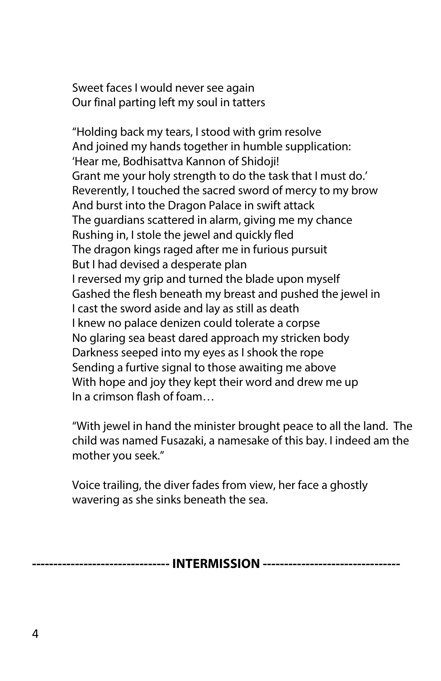Sweet faces I would never see again Our final parting left my soul in tatters

"Holding back my tears, I stood with grim resolve And joined my hands together in humble supplication: 'Hear me, Bodhisattva Kannon of Shidoji! Grant me your holy strength to do the task that I must do.' Reverently, I touched the sacred sword of mercy to my brow And burst into the Dragon Palace in swift attack The guardians scattered in alarm, giving me my chance Rushing in, I stole the jewel and quickly fled The dragon kings raged after me in furious pursuit But I had devised a desperate plan I reversed my grip and turned the blade upon myself Gashed the flesh beneath my breast and pushed the jewel in I cast the sword aside and lay as still as death I knew no palace denizen could tolerate a corpse No glaring sea beast dared approach my stricken body Darkness seeped into my eyes as I shook the rope Sending a furtive signal to those awaiting me above With hope and joy they kept their word and drew me up In a crimson flash of foam…

"With jewel in hand the minister brought peace to all the land. The child was named Fusazaki, a namesake of this bay. I indeed am the mother you seek."

Voice trailing, the diver fades from view, her face a ghostly wavering as she sinks beneath the sea.

**-------------------------------- INTERMISSION --------------------------------**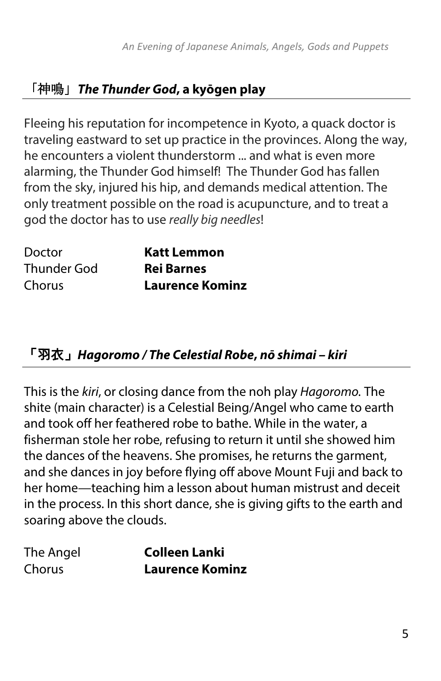# 「神鳴」*The Thunder God***, a kyōgen play**

Fleeing his reputation for incompetence in Kyoto, a quack doctor is traveling eastward to set up practice in the provinces. Along the way, he encounters a violent thunderstorm ... and what is even more alarming, the Thunder God himself! The Thunder God has fallen from the sky, injured his hip, and demands medical attention. The only treatment possible on the road is acupuncture, and to treat a god the doctor has to use *really big needles*!

| Doctor             | <b>Katt Lemmon</b>     |
|--------------------|------------------------|
| <b>Thunder God</b> | <b>Rei Barnes</b>      |
| Chorus             | <b>Laurence Kominz</b> |

### 「羽衣」*Hagoromo / The Celestial Robe***,** *nō shimai – kiri*

This is the *kiri*, or closing dance from the noh play *Hagoromo.* The shite (main character) is a Celestial Being/Angel who came to earth and took off her feathered robe to bathe. While in the water, a fisherman stole her robe, refusing to return it until she showed him the dances of the heavens. She promises, he returns the garment, and she dances in joy before flying off above Mount Fuji and back to her home—teaching him a lesson about human mistrust and deceit in the process. In this short dance, she is giving gifts to the earth and soaring above the clouds.

| The Angel | <b>Colleen Lanki</b>   |
|-----------|------------------------|
| Chorus    | <b>Laurence Kominz</b> |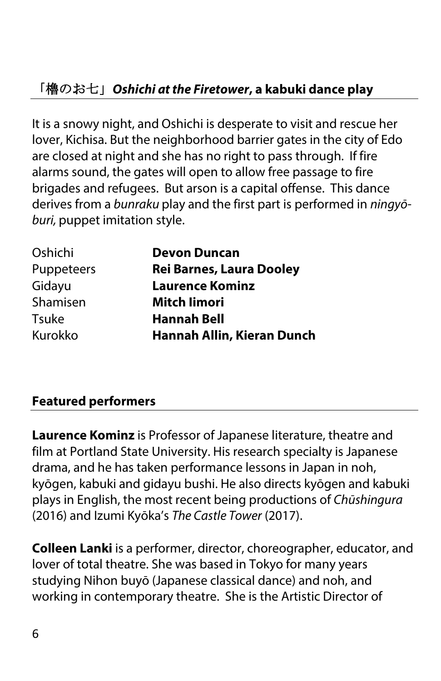# 「櫓のお七」*Oshichi at the Firetower***, a kabuki dance play**

It is a snowy night, and Oshichi is desperate to visit and rescue her lover, Kichisa. But the neighborhood barrier gates in the city of Edo are closed at night and she has no right to pass through. If fire alarms sound, the gates will open to allow free passage to fire brigades and refugees. But arson is a capital offense. This dance derives from a *bunraku* play and the first part is performed in *ningyōburi,* puppet imitation style.

| Oshichi      | <b>Devon Duncan</b>             |
|--------------|---------------------------------|
| Puppeteers   | <b>Rei Barnes, Laura Dooley</b> |
| Gidayu       | <b>Laurence Kominz</b>          |
| Shamisen     | <b>Mitch limori</b>             |
| <b>Tsuke</b> | <b>Hannah Bell</b>              |
| Kurokko      | Hannah Allin, Kieran Dunch      |

#### **Featured performers**

**Laurence Kominz** is Professor of Japanese literature, theatre and film at Portland State University. His research specialty is Japanese drama, and he has taken performance lessons in Japan in noh, kyōgen, kabuki and gidayu bushi. He also directs kyōgen and kabuki plays in English, the most recent being productions of *Chūshingura* (2016) and Izumi Kyōka's *The Castle Tower* (2017).

**Colleen Lanki** is a performer, director, choreographer, educator, and lover of total theatre. She was based in Tokyo for many years studying Nihon buyō (Japanese classical dance) and noh, and working in contemporary theatre. She is the Artistic Director of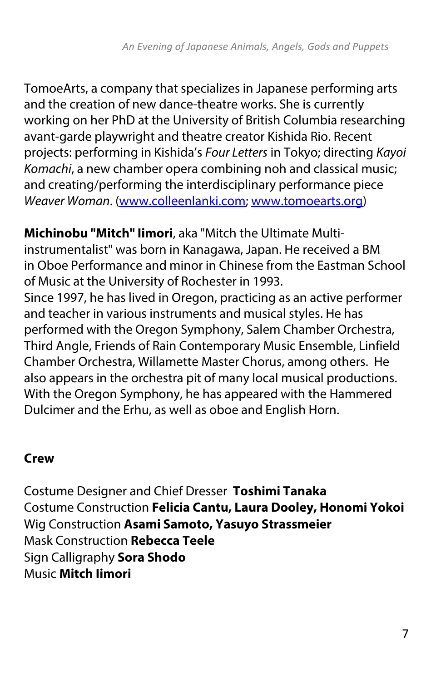TomoeArts, a company that specializes in Japanese performing arts and the creation of new dance-theatre works. She is currently working on her PhD at the University of British Columbia researching avant-garde playwright and theatre creator Kishida Rio. Recent projects: performing in Kishida's *Four Letters* in Tokyo; directing *Kayoi Komachi*, a new chamber opera combining noh and classical music; and creating/performing the interdisciplinary performance piece *Weaver Woman*. (www.colleenlanki.com; www.tomoearts.org)

**Michinobu "Mitch" Iimori**, aka "Mitch the Ultimate Multiinstrumentalist" was born in Kanagawa, Japan. He received a BM in Oboe Performance and minor in Chinese from the Eastman School of Music at the University of Rochester in 1993. Since 1997, he has lived in Oregon, practicing as an active performer and teacher in various instruments and musical styles. He has performed with the Oregon Symphony, Salem Chamber Orchestra, Third Angle, Friends of Rain Contemporary Music Ensemble, Linfield Chamber Orchestra, Willamette Master Chorus, among others. He also appears in the orchestra pit of many local musical productions. With the Oregon Symphony, he has appeared with the Hammered Dulcimer and the Erhu, as well as oboe and English Horn.

#### **Crew**

Costume Designer and Chief Dresser **Toshimi Tanaka** Costume Construction **Felicia Cantu, Laura Dooley, Honomi Yokoi** Wig Construction **Asami Samoto, Yasuyo Strassmeier** Mask Construction **Rebecca Teele** Sign Calligraphy **Sora Shodo** Music **Mitch Iimori**